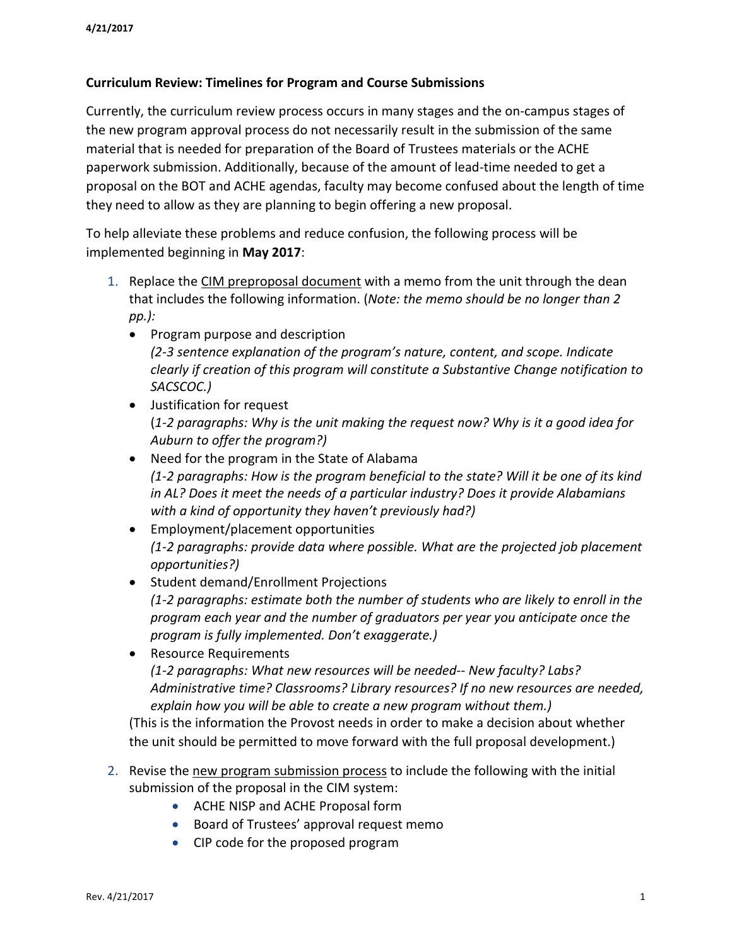## **Curriculum Review: Timelines for Program and Course Submissions**

Currently, the curriculum review process occurs in many stages and the on-campus stages of the new program approval process do not necessarily result in the submission of the same material that is needed for preparation of the Board of Trustees materials or the ACHE paperwork submission. Additionally, because of the amount of lead-time needed to get a proposal on the BOT and ACHE agendas, faculty may become confused about the length of time they need to allow as they are planning to begin offering a new proposal.

To help alleviate these problems and reduce confusion, the following process will be implemented beginning in **May 2017**:

- 1. Replace the CIM preproposal document with a memo from the unit through the dean that includes the following information. (*Note: the memo should be no longer than 2 pp.):*
	- Program purpose and description *(2-3 sentence explanation of the program's nature, content, and scope. Indicate clearly if creation of this program will constitute a Substantive Change notification to SACSCOC.)*
	- Justification for request (*1-2 paragraphs: Why is the unit making the request now? Why is it a good idea for Auburn to offer the program?)*
	- Need for the program in the State of Alabama *(1-2 paragraphs: How is the program beneficial to the state? Will it be one of its kind in AL? Does it meet the needs of a particular industry? Does it provide Alabamians with a kind of opportunity they haven't previously had?)*
	- Employment/placement opportunities *(1-2 paragraphs: provide data where possible. What are the projected job placement opportunities?)*
	- Student demand/Enrollment Projections *(1-2 paragraphs: estimate both the number of students who are likely to enroll in the program each year and the number of graduators per year you anticipate once the program is fully implemented. Don't exaggerate.)*
	- Resource Requirements *(1-2 paragraphs: What new resources will be needed-- New faculty? Labs? Administrative time? Classrooms? Library resources? If no new resources are needed, explain how you will be able to create a new program without them.)*

(This is the information the Provost needs in order to make a decision about whether the unit should be permitted to move forward with the full proposal development.)

- 2. Revise the new program submission process to include the following with the initial submission of the proposal in the CIM system:
	- ACHE NISP and ACHE Proposal form
	- Board of Trustees' approval request memo
	- CIP code for the proposed program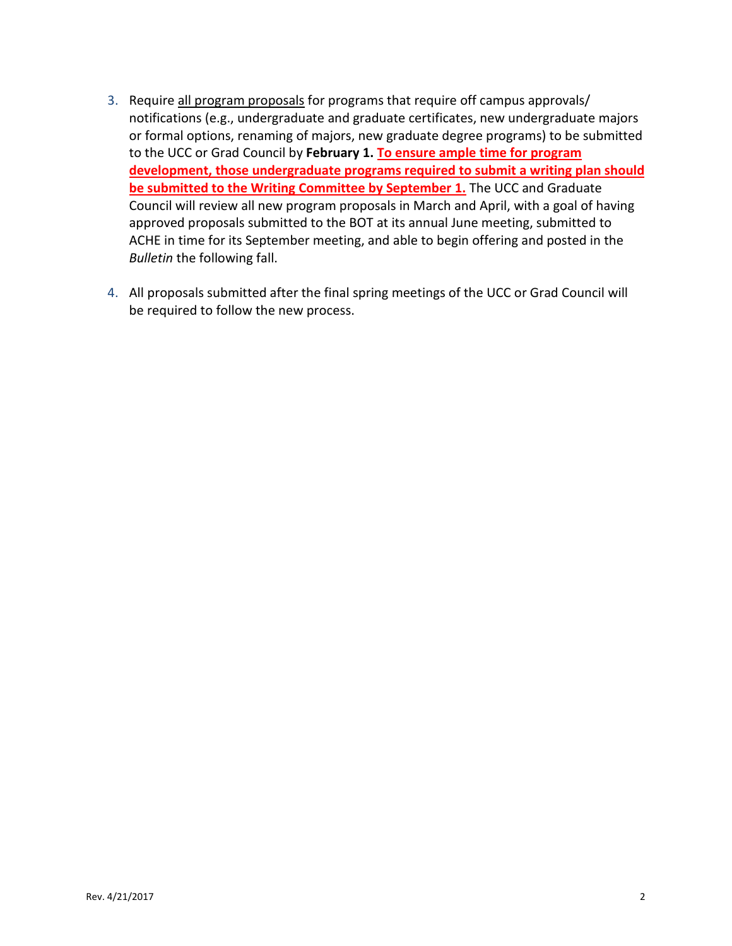- 3. Require all program proposals for programs that require off campus approvals/ notifications (e.g., undergraduate and graduate certificates, new undergraduate majors or formal options, renaming of majors, new graduate degree programs) to be submitted to the UCC or Grad Council by **February 1. To ensure ample time for program development, those undergraduate programs required to submit a writing plan should be submitted to the Writing Committee by September 1.** The UCC and Graduate Council will review all new program proposals in March and April, with a goal of having approved proposals submitted to the BOT at its annual June meeting, submitted to ACHE in time for its September meeting, and able to begin offering and posted in the *Bulletin* the following fall.
- 4. All proposals submitted after the final spring meetings of the UCC or Grad Council will be required to follow the new process.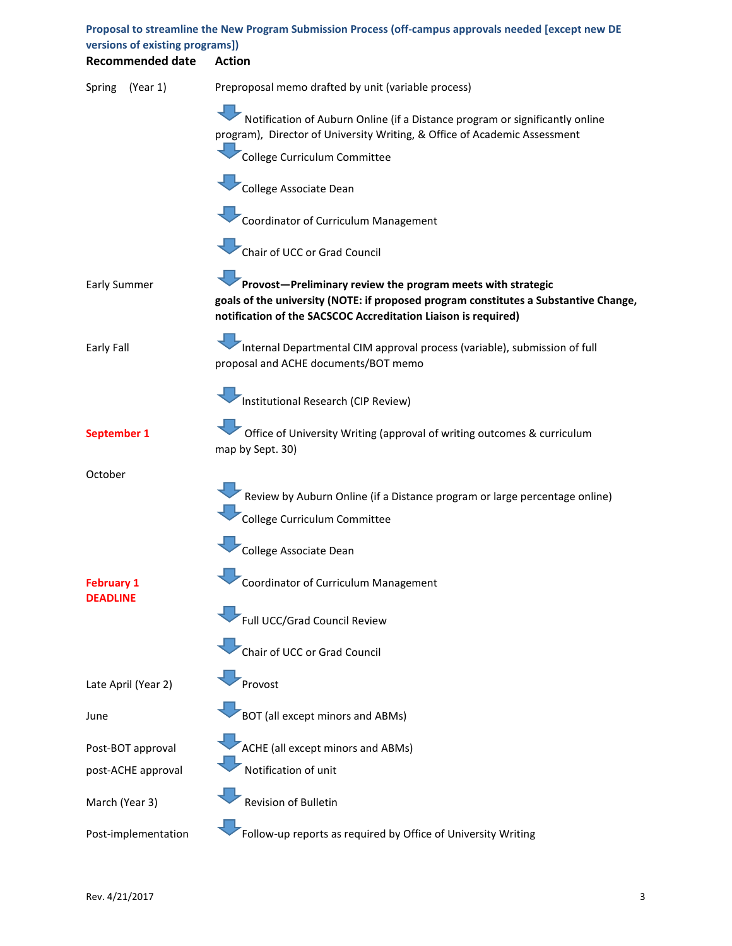| versions of existing programs])      | Proposal to streamline the New Program Submission Process (off-campus approvals needed [except new DE                                                                                                                 |
|--------------------------------------|-----------------------------------------------------------------------------------------------------------------------------------------------------------------------------------------------------------------------|
| <b>Recommended date</b>              | <b>Action</b>                                                                                                                                                                                                         |
| (Year 1)<br>Spring                   | Preproposal memo drafted by unit (variable process)                                                                                                                                                                   |
|                                      | Notification of Auburn Online (if a Distance program or significantly online<br>program), Director of University Writing, & Office of Academic Assessment                                                             |
|                                      | College Curriculum Committee                                                                                                                                                                                          |
|                                      | College Associate Dean                                                                                                                                                                                                |
|                                      | Coordinator of Curriculum Management                                                                                                                                                                                  |
|                                      | Chair of UCC or Grad Council                                                                                                                                                                                          |
| <b>Early Summer</b>                  | Provost-Preliminary review the program meets with strategic<br>goals of the university (NOTE: if proposed program constitutes a Substantive Change,<br>notification of the SACSCOC Accreditation Liaison is required) |
| Early Fall                           | Internal Departmental CIM approval process (variable), submission of full<br>proposal and ACHE documents/BOT memo                                                                                                     |
|                                      | Institutional Research (CIP Review)                                                                                                                                                                                   |
| September 1                          | Office of University Writing (approval of writing outcomes & curriculum<br>map by Sept. 30)                                                                                                                           |
| October                              |                                                                                                                                                                                                                       |
|                                      | Review by Auburn Online (if a Distance program or large percentage online)                                                                                                                                            |
|                                      | College Curriculum Committee                                                                                                                                                                                          |
|                                      | College Associate Dean                                                                                                                                                                                                |
| <b>February 1</b><br><b>DEADLINE</b> | Coordinator of Curriculum Management                                                                                                                                                                                  |
|                                      | Full UCC/Grad Council Review                                                                                                                                                                                          |
|                                      | Chair of UCC or Grad Council                                                                                                                                                                                          |
| Late April (Year 2)                  | Provost                                                                                                                                                                                                               |
| June                                 | BOT (all except minors and ABMs)                                                                                                                                                                                      |
| Post-BOT approval                    | ACHE (all except minors and ABMs)                                                                                                                                                                                     |
| post-ACHE approval                   | Notification of unit                                                                                                                                                                                                  |
| March (Year 3)                       | Revision of Bulletin                                                                                                                                                                                                  |
| Post-implementation                  | Follow-up reports as required by Office of University Writing                                                                                                                                                         |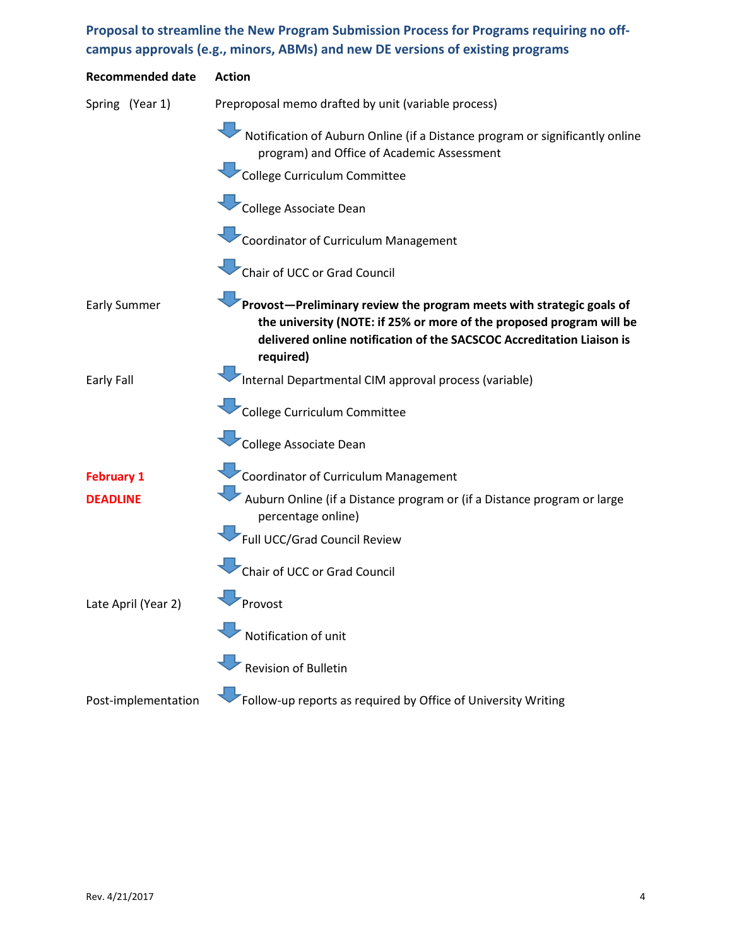## **Proposal to streamline the New Program Submission Process for Programs requiring no offcampus approvals (e.g., minors, ABMs) and new DE versions of existing programs**

| <b>Recommended date</b> | <b>Action</b>                                                                                                                                                                                                                      |
|-------------------------|------------------------------------------------------------------------------------------------------------------------------------------------------------------------------------------------------------------------------------|
| Spring (Year 1)         | Preproposal memo drafted by unit (variable process)                                                                                                                                                                                |
|                         | Notification of Auburn Online (if a Distance program or significantly online<br>program) and Office of Academic Assessment                                                                                                         |
|                         | College Curriculum Committee                                                                                                                                                                                                       |
|                         | College Associate Dean                                                                                                                                                                                                             |
|                         | Coordinator of Curriculum Management                                                                                                                                                                                               |
|                         | Chair of UCC or Grad Council                                                                                                                                                                                                       |
| <b>Early Summer</b>     | Provost-Preliminary review the program meets with strategic goals of<br>the university (NOTE: if 25% or more of the proposed program will be<br>delivered online notification of the SACSCOC Accreditation Liaison is<br>required) |
| Early Fall              | Internal Departmental CIM approval process (variable)                                                                                                                                                                              |
|                         | College Curriculum Committee                                                                                                                                                                                                       |
|                         | College Associate Dean                                                                                                                                                                                                             |
| <b>February 1</b>       | Coordinator of Curriculum Management                                                                                                                                                                                               |
| <b>DEADLINE</b>         | Auburn Online (if a Distance program or (if a Distance program or large<br>percentage online)                                                                                                                                      |
|                         | Full UCC/Grad Council Review                                                                                                                                                                                                       |
|                         | Chair of UCC or Grad Council                                                                                                                                                                                                       |
| Late April (Year 2)     | Provost                                                                                                                                                                                                                            |
|                         | Notification of unit                                                                                                                                                                                                               |
|                         | <b>Revision of Bulletin</b>                                                                                                                                                                                                        |
| Post-implementation     | Follow-up reports as required by Office of University Writing                                                                                                                                                                      |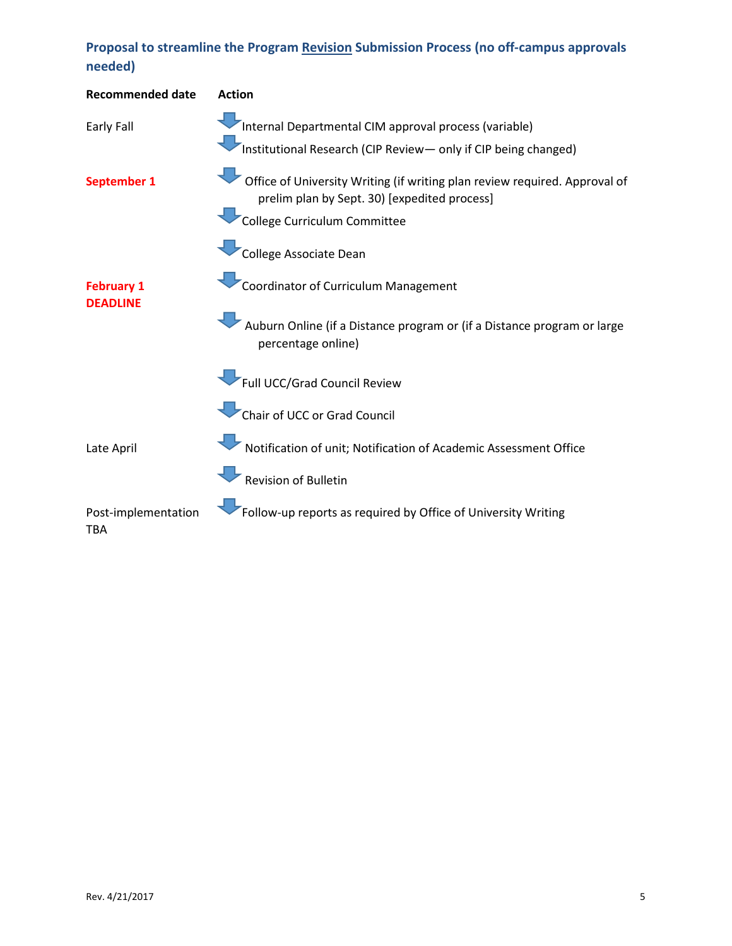## **Proposal to streamline the Program Revision Submission Process (no off-campus approvals needed)**

| <b>Recommended date</b>              | <b>Action</b>                                                                                                                                              |
|--------------------------------------|------------------------------------------------------------------------------------------------------------------------------------------------------------|
| Early Fall                           | Internal Departmental CIM approval process (variable)<br>Institutional Research (CIP Review- only if CIP being changed)                                    |
| September 1                          | Office of University Writing (if writing plan review required. Approval of<br>prelim plan by Sept. 30) [expedited process]<br>College Curriculum Committee |
|                                      | College Associate Dean                                                                                                                                     |
| <b>February 1</b><br><b>DEADLINE</b> | Coordinator of Curriculum Management                                                                                                                       |
|                                      | Auburn Online (if a Distance program or (if a Distance program or large<br>percentage online)                                                              |
|                                      | Full UCC/Grad Council Review                                                                                                                               |
|                                      | Chair of UCC or Grad Council                                                                                                                               |
| Late April                           | Notification of unit; Notification of Academic Assessment Office                                                                                           |
|                                      | Revision of Bulletin                                                                                                                                       |
| Post-implementation<br>TBA           | Follow-up reports as required by Office of University Writing                                                                                              |